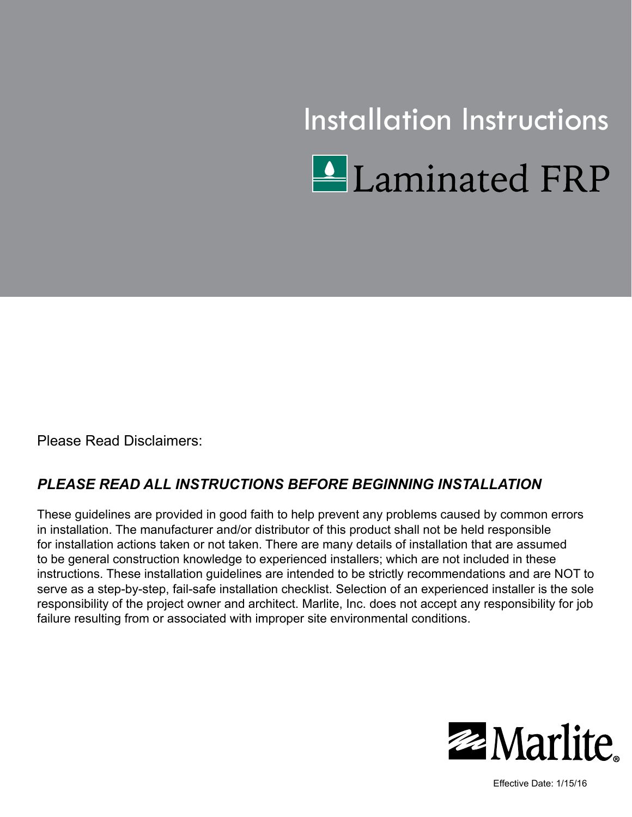

Please Read Disclaimers:

#### *PLEASE READ ALL INSTRUCTIONS BEFORE BEGINNING INSTALLATION*

These guidelines are provided in good faith to help prevent any problems caused by common errors in installation. The manufacturer and/or distributor of this product shall not be held responsible for installation actions taken or not taken. There are many details of installation that are assumed to be general construction knowledge to experienced installers; which are not included in these instructions. These installation guidelines are intended to be strictly recommendations and are NOT to serve as a step-by-step, fail-safe installation checklist. Selection of an experienced installer is the sole responsibility of the project owner and architect. Marlite, Inc. does not accept any responsibility for job failure resulting from or associated with improper site environmental conditions.



Effective Date: 1/15/16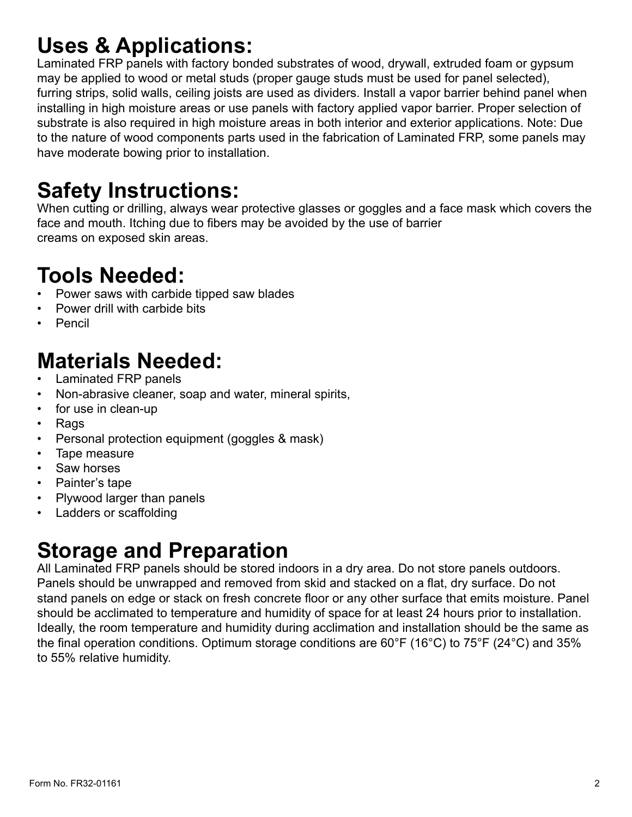## **Uses & Applications:**

Laminated FRP panels with factory bonded substrates of wood, drywall, extruded foam or gypsum may be applied to wood or metal studs (proper gauge studs must be used for panel selected), furring strips, solid walls, ceiling joists are used as dividers. Install a vapor barrier behind panel when installing in high moisture areas or use panels with factory applied vapor barrier. Proper selection of substrate is also required in high moisture areas in both interior and exterior applications. Note: Due to the nature of wood components parts used in the fabrication of Laminated FRP, some panels may have moderate bowing prior to installation.

## **Safety Instructions:**

When cutting or drilling, always wear protective glasses or goggles and a face mask which covers the face and mouth. Itching due to fibers may be avoided by the use of barrier creams on exposed skin areas.

#### **Tools Needed:**

- Power saws with carbide tipped saw blades
- Power drill with carbide bits
- Pencil

# **Materials Needed:**

- Laminated FRP panels
- Non-abrasive cleaner, soap and water, mineral spirits,
- for use in clean-up
- Rags
- Personal protection equipment (goggles & mask)
- Tape measure
- Saw horses
- Painter's tape
- Plywood larger than panels
- Ladders or scaffolding

# **Storage and Preparation**

All Laminated FRP panels should be stored indoors in a dry area. Do not store panels outdoors. Panels should be unwrapped and removed from skid and stacked on a flat, dry surface. Do not stand panels on edge or stack on fresh concrete floor or any other surface that emits moisture. Panel should be acclimated to temperature and humidity of space for at least 24 hours prior to installation. Ideally, the room temperature and humidity during acclimation and installation should be the same as the final operation conditions. Optimum storage conditions are 60°F (16°C) to 75°F (24°C) and 35% to 55% relative humidity.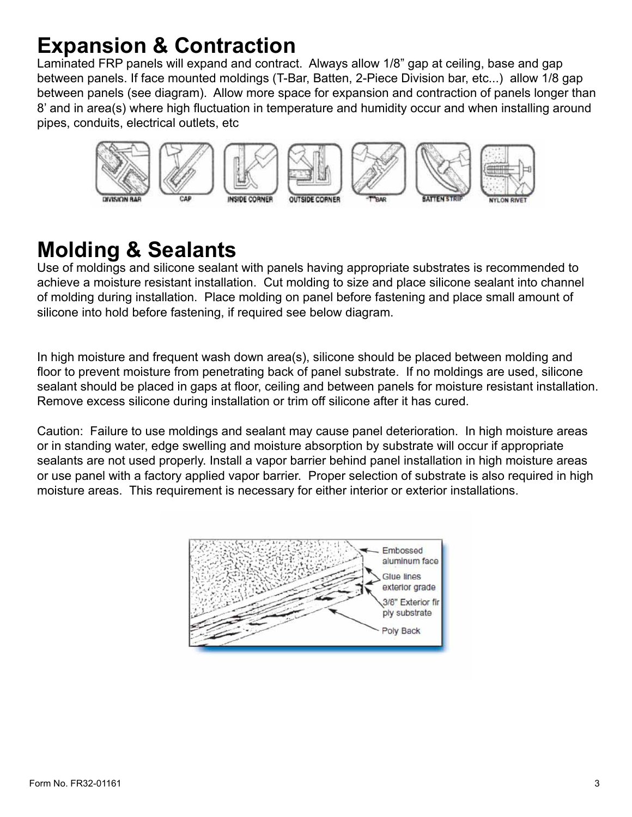#### **Expansion & Contraction**

Laminated FRP panels will expand and contract. Always allow 1/8" gap at ceiling, base and gap between panels. If face mounted moldings (T-Bar, Batten, 2-Piece Division bar, etc...) allow 1/8 gap between panels (see diagram). Allow more space for expansion and contraction of panels longer than 8' and in area(s) where high fluctuation in temperature and humidity occur and when installing around pipes, conduits, electrical outlets, etc



#### **Molding & Sealants**

Use of moldings and silicone sealant with panels having appropriate substrates is recommended to achieve a moisture resistant installation. Cut molding to size and place silicone sealant into channel of molding during installation. Place molding on panel before fastening and place small amount of silicone into hold before fastening, if required see below diagram.

In high moisture and frequent wash down area(s), silicone should be placed between molding and floor to prevent moisture from penetrating back of panel substrate. If no moldings are used, silicone sealant should be placed in gaps at floor, ceiling and between panels for moisture resistant installation. Remove excess silicone during installation or trim off silicone after it has cured.

Caution: Failure to use moldings and sealant may cause panel deterioration. In high moisture areas or in standing water, edge swelling and moisture absorption by substrate will occur if appropriate sealants are not used properly. Install a vapor barrier behind panel installation in high moisture areas or use panel with a factory applied vapor barrier. Proper selection of substrate is also required in high moisture areas. This requirement is necessary for either interior or exterior installations.

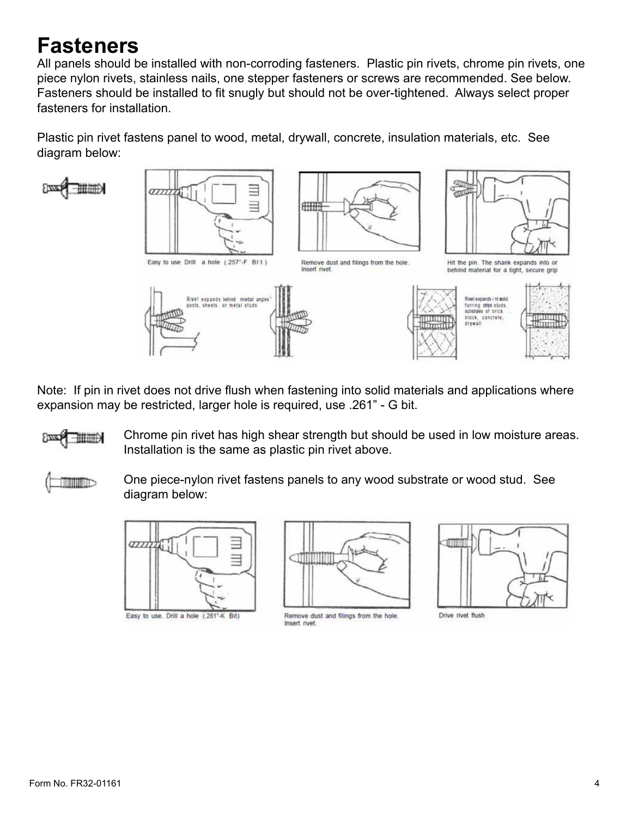#### **Fasteners**

All panels should be installed with non-corroding fasteners. Plastic pin rivets, chrome pin rivets, one piece nylon rivets, stainless nails, one stepper fasteners or screws are recommended. See below. Fasteners should be installed to fit snugly but should not be over-tightened. Always select proper fasteners for installation.

Plastic pin rivet fastens panel to wood, metal, drywall, concrete, insulation materials, etc. See diagram below:

ⅢⅢ分



Note: If pin in rivet does not drive flush when fastening into solid materials and applications where expansion may be restricted, larger hole is required, use .261" - G bit.

Chrome pin rivet has high shear strength but should be used in low moisture areas. ⅢⅢ分 Installation is the same as plastic pin rivet above.

TITTLE

One piece-nylon rivet fastens panels to any wood substrate or wood stud. See diagram below:



Easy to use. Drill a hole (.281°-K Bit)



Remove dust and filings from the hole. Insert rivet



Drive rivet flush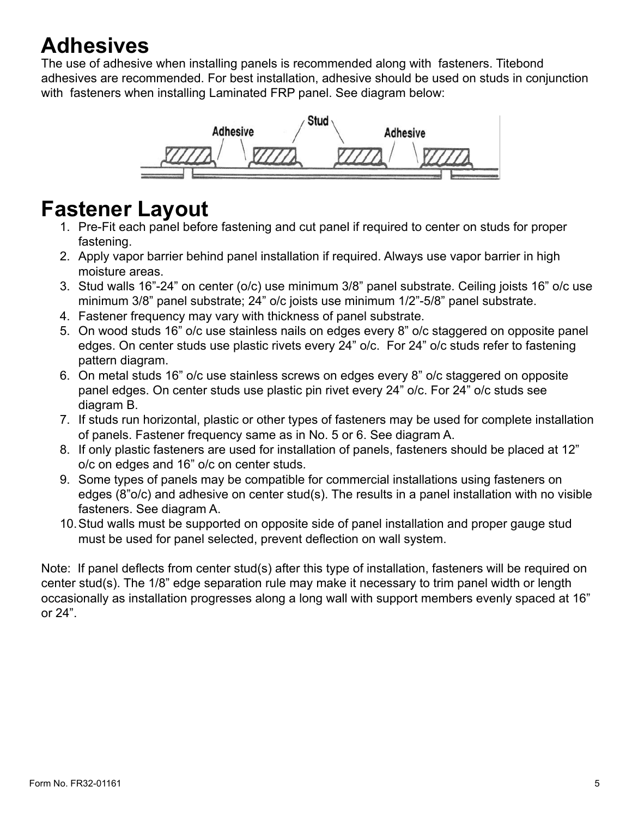#### **Adhesives**

The use of adhesive when installing panels is recommended along with fasteners. Titebond adhesives are recommended. For best installation, adhesive should be used on studs in conjunction with fasteners when installing Laminated FRP panel. See diagram below:



#### **Fastener Layout**

- 1. Pre-Fit each panel before fastening and cut panel if required to center on studs for proper fastening.
- 2. Apply vapor barrier behind panel installation if required. Always use vapor barrier in high moisture areas.
- 3. Stud walls 16"-24" on center (o/c) use minimum 3/8" panel substrate. Ceiling joists 16" o/c use minimum 3/8" panel substrate; 24" o/c joists use minimum 1/2"-5/8" panel substrate.
- 4. Fastener frequency may vary with thickness of panel substrate.
- 5. On wood studs 16" o/c use stainless nails on edges every 8" o/c staggered on opposite panel edges. On center studs use plastic rivets every 24" o/c. For 24" o/c studs refer to fastening pattern diagram.
- 6. On metal studs 16" o/c use stainless screws on edges every 8" o/c staggered on opposite panel edges. On center studs use plastic pin rivet every 24" o/c. For 24" o/c studs see diagram B.
- 7. If studs run horizontal, plastic or other types of fasteners may be used for complete installation of panels. Fastener frequency same as in No. 5 or 6. See diagram A.
- 8. If only plastic fasteners are used for installation of panels, fasteners should be placed at 12" o/c on edges and 16" o/c on center studs.
- 9. Some types of panels may be compatible for commercial installations using fasteners on edges (8"o/c) and adhesive on center stud(s). The results in a panel installation with no visible fasteners. See diagram A.
- 10.Stud walls must be supported on opposite side of panel installation and proper gauge stud must be used for panel selected, prevent deflection on wall system.

Note: If panel deflects from center stud(s) after this type of installation, fasteners will be required on center stud(s). The 1/8" edge separation rule may make it necessary to trim panel width or length occasionally as installation progresses along a long wall with support members evenly spaced at 16" or 24".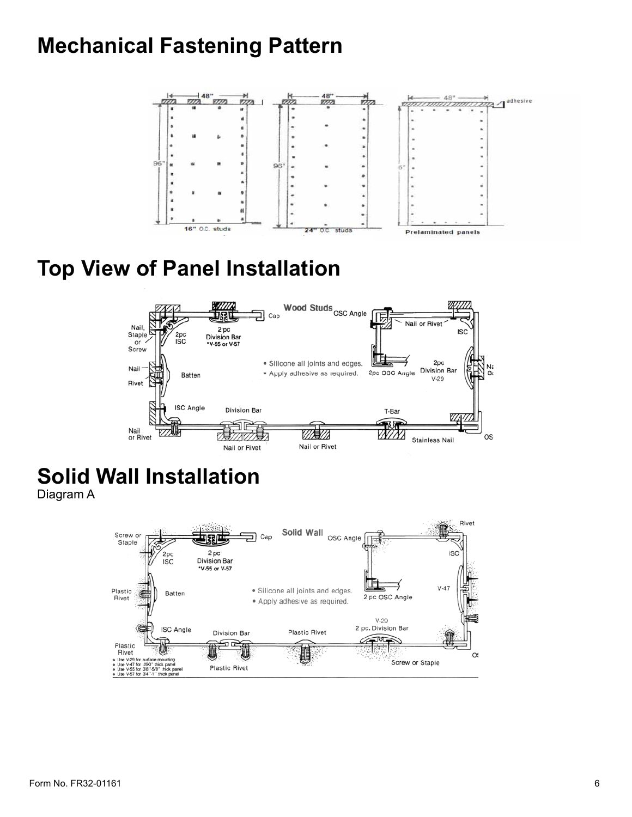#### **Mechanical Fastening Pattern**



# **Top View of Panel Installation**



# **Solid Wall Installation**

Diagram A

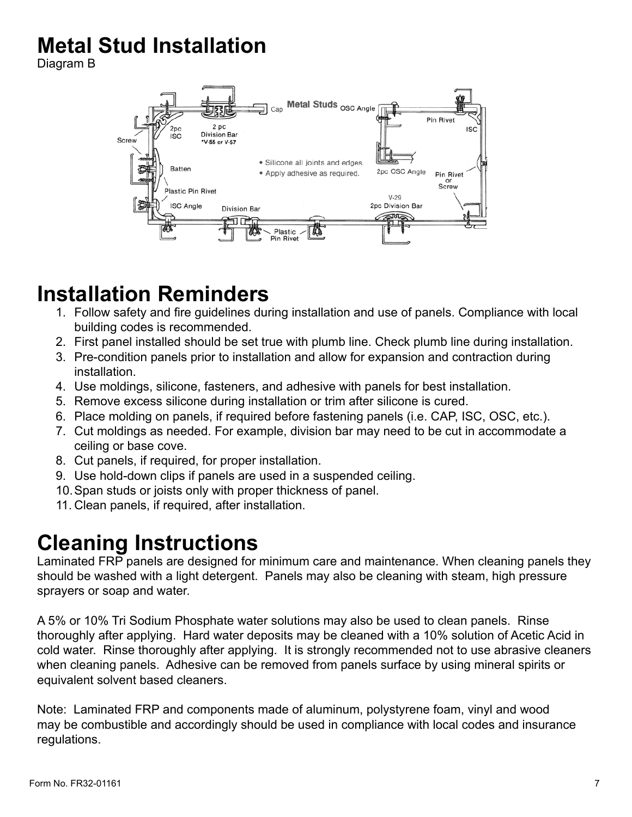# **Metal Stud Installation**

Diagram B



### **Installation Reminders**

- 1. Follow safety and fire guidelines during installation and use of panels. Compliance with local building codes is recommended.
- 2. First panel installed should be set true with plumb line. Check plumb line during installation.
- 3. Pre-condition panels prior to installation and allow for expansion and contraction during installation.
- 4. Use moldings, silicone, fasteners, and adhesive with panels for best installation.
- 5. Remove excess silicone during installation or trim after silicone is cured.
- 6. Place molding on panels, if required before fastening panels (i.e. CAP, ISC, OSC, etc.).
- 7. Cut moldings as needed. For example, division bar may need to be cut in accommodate a ceiling or base cove.
- 8. Cut panels, if required, for proper installation.
- 9. Use hold-down clips if panels are used in a suspended ceiling.
- 10.Span studs or joists only with proper thickness of panel.
- 11. Clean panels, if required, after installation.

#### **Cleaning Instructions**

Laminated  $FRP$  panels are designed for minimum care and maintenance. When cleaning panels they should be washed with a light detergent. Panels may also be cleaning with steam, high pressure sprayers or soap and water.

A 5% or 10% Tri Sodium Phosphate water solutions may also be used to clean panels. Rinse thoroughly after applying. Hard water deposits may be cleaned with a 10% solution of Acetic Acid in cold water. Rinse thoroughly after applying. It is strongly recommended not to use abrasive cleaners when cleaning panels. Adhesive can be removed from panels surface by using mineral spirits or equivalent solvent based cleaners.

Note: Laminated FRP and components made of aluminum, polystyrene foam, vinyl and wood may be combustible and accordingly should be used in compliance with local codes and insurance regulations.